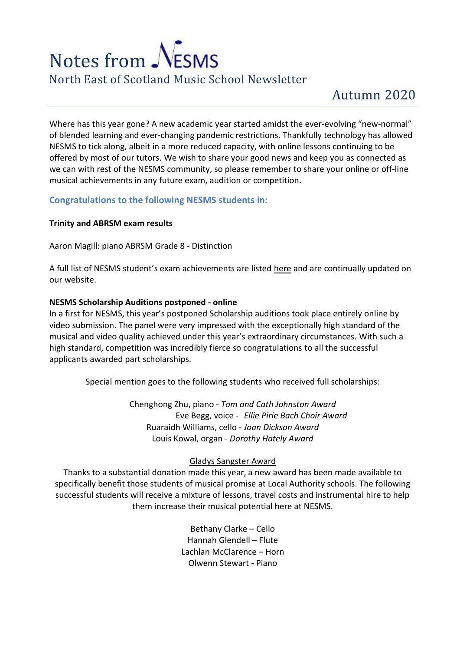# Notes from NESMS North East of Scotland Music School Newsletter

Where has this year gone? A new academic year started amidst the ever-evolving "new-normal" of blended learning and ever-changing pandemic restrictions. Thankfully technology has allowed NESMS to tick along, albeit in a more reduced capacity, with online lessons continuing to be offered by most of our tutors. We wish to share your good news and keep you as connected as we can with rest of the NESMS community, so please remember to share your online or off-line musical achievements in any future exam, audition or competition.

## **Congratulations to the following NESMS students in:**

## **Trinity and ABRSM exam results**

Aaron Magill: piano ABRSM Grade 8 - Distinction

A full list of NESMS student's exam achievements are listed [here](https://www.nesms.org.uk/r8/news2.html) and are continually updated on our website.

#### **NESMS Scholarship Auditions postponed - online**

In a first for NESMS, this year's postponed Scholarship auditions took place entirely online by video submission. The panel were very impressed with the exceptionally high standard of the musical and video quality achieved under this year's extraordinary circumstances. With such a high standard, competition was incredibly fierce so congratulations to all the successful applicants awarded part scholarships.

Special mention goes to the following students who received full scholarships:

Chenghong Zhu, piano - *Tom and Cath Johnston Award* Eve Begg, voice - *Ellie Pirie Bach Choir Award* Ruaraidh Williams, cello - *Joan Dickson Award* Louis Kowal, organ - *Dorothy Hately Award*

## Gladys Sangster Award

Thanks to a substantial donation made this year, a new award has been made available to specifically benefit those students of musical promise at Local Authority schools. The following successful students will receive a mixture of lessons, travel costs and instrumental hire to help them increase their musical potential here at NESMS.

> Bethany Clarke – Cello Hannah Glendell – Flute Lachlan McClarence – Horn Olwenn Stewart - Piano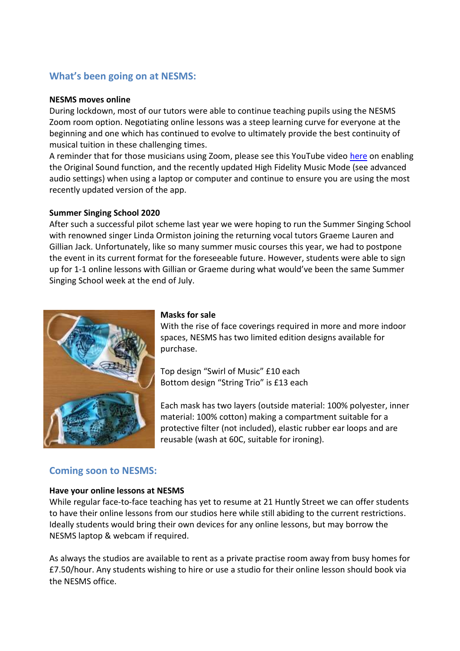# **What's been going on at NESMS:**

#### **NESMS moves online**

During lockdown, most of our tutors were able to continue teaching pupils using the NESMS Zoom room option. Negotiating online lessons was a steep learning curve for everyone at the beginning and one which has continued to evolve to ultimately provide the best continuity of musical tuition in these challenging times.

A reminder that for those musicians using Zoom, please see this YouTube video [here](https://www.youtube.com/watch?reload=9&v=50NoWIiYECA) on enabling the Original Sound function, and the recently updated High Fidelity Music Mode (see advanced audio settings) when using a laptop or computer and continue to ensure you are using the most recently updated version of the app.

#### **Summer Singing School 2020**

After such a successful pilot scheme last year we were hoping to run the Summer Singing School with renowned singer Linda Ormiston joining the returning vocal tutors Graeme Lauren and Gillian Jack. Unfortunately, like so many summer music courses this year, we had to postpone the event in its current format for the foreseeable future. However, students were able to sign up for 1-1 online lessons with Gillian or Graeme during what would've been the same Summer Singing School week at the end of July.



#### **Masks for sale**

With the rise of face coverings required in more and more indoor spaces, NESMS has two limited edition designs available for purchase.

Top design "Swirl of Music" £10 each Bottom design "String Trio" is £13 each

Each mask has two layers (outside material: 100% polyester, inner material: 100% cotton) making a compartment suitable for a protective filter (not included), elastic rubber ear loops and are reusable (wash at 60C, suitable for ironing).

## **Coming soon to NESMS:**

#### **Have your online lessons at NESMS**

While regular face-to-face teaching has yet to resume at 21 Huntly Street we can offer students to have their online lessons from our studios here while still abiding to the current restrictions. Ideally students would bring their own devices for any online lessons, but may borrow the NESMS laptop & webcam if required.

As always the studios are available to rent as a private practise room away from busy homes for £7.50/hour. Any students wishing to hire or use a studio for their online lesson should book via the NESMS office.